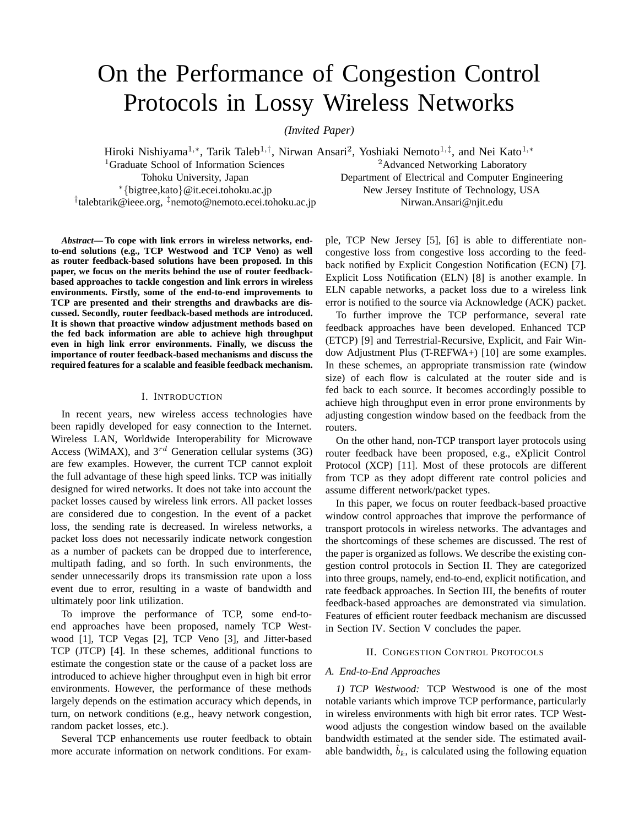# On the Performance of Congestion Control Protocols in Lossy Wireless Networks

*(Invited Paper)*

Hiroki Nishiyama<sup>1,∗</sup>, Tarik Taleb<sup>1,†</sup>, Nirwan Ansari<sup>2</sup>, Yoshiaki Nemoto<sup>1,‡</sup>, and Nei Kato<sup>1,∗</sup> <sup>1</sup>Graduate School of Information Sciences 2Advanced Networking Laboratory Tohoku University, Japan Department of Electrical and Computer Engineering <sup>∗</sup>*{*bigtree,kato*}*@it.ecei.tohoku.ac.jp New Jersey Institute of Technology, USA <sup>†</sup>talebtarik@ieee.org, <sup>‡</sup>nemoto@nemoto.ecei.tohoku.ac.jp

*Abstract***— To cope with link errors in wireless networks, endto-end solutions (e.g., TCP Westwood and TCP Veno) as well as router feedback-based solutions have been proposed. In this paper, we focus on the merits behind the use of router feedbackbased approaches to tackle congestion and link errors in wireless environments. Firstly, some of the end-to-end improvements to TCP are presented and their strengths and drawbacks are discussed. Secondly, router feedback-based methods are introduced. It is shown that proactive window adjustment methods based on the fed back information are able to achieve high throughput even in high link error environments. Finally, we discuss the importance of router feedback-based mechanisms and discuss the required features for a scalable and feasible feedback mechanism.**

### I. INTRODUCTION

In recent years, new wireless access technologies have been rapidly developed for easy connection to the Internet. Wireless LAN, Worldwide Interoperability for Microwave Access (WiMAX), and 3*rd* Generation cellular systems (3G) are few examples. However, the current TCP cannot exploit the full advantage of these high speed links. TCP was initially designed for wired networks. It does not take into account the packet losses caused by wireless link errors. All packet losses are considered due to congestion. In the event of a packet loss, the sending rate is decreased. In wireless networks, a packet loss does not necessarily indicate network congestion as a number of packets can be dropped due to interference, multipath fading, and so forth. In such environments, the sender unnecessarily drops its transmission rate upon a loss event due to error, resulting in a waste of bandwidth and ultimately poor link utilization.

To improve the performance of TCP, some end-toend approaches have been proposed, namely TCP Westwood [1], TCP Vegas [2], TCP Veno [3], and Jitter-based TCP (JTCP) [4]. In these schemes, additional functions to estimate the congestion state or the cause of a packet loss are introduced to achieve higher throughput even in high bit error environments. However, the performance of these methods largely depends on the estimation accuracy which depends, in turn, on network conditions (e.g., heavy network congestion, random packet losses, etc.).

Several TCP enhancements use router feedback to obtain more accurate information on network conditions. For exam-

ple, TCP New Jersey [5], [6] is able to differentiate noncongestive loss from congestive loss according to the feedback notified by Explicit Congestion Notification (ECN) [7]. Explicit Loss Notification (ELN) [8] is another example. In ELN capable networks, a packet loss due to a wireless link error is notified to the source via Acknowledge (ACK) packet.

To further improve the TCP performance, several rate feedback approaches have been developed. Enhanced TCP (ETCP) [9] and Terrestrial-Recursive, Explicit, and Fair Window Adjustment Plus (T-REFWA+) [10] are some examples. In these schemes, an appropriate transmission rate (window size) of each flow is calculated at the router side and is fed back to each source. It becomes accordingly possible to achieve high throughput even in error prone environments by adjusting congestion window based on the feedback from the routers.

On the other hand, non-TCP transport layer protocols using router feedback have been proposed, e.g., eXplicit Control Protocol (XCP) [11]. Most of these protocols are different from TCP as they adopt different rate control policies and assume different network/packet types.

In this paper, we focus on router feedback-based proactive window control approaches that improve the performance of transport protocols in wireless networks. The advantages and the shortcomings of these schemes are discussed. The rest of the paper is organized as follows. We describe the existing congestion control protocols in Section II. They are categorized into three groups, namely, end-to-end, explicit notification, and rate feedback approaches. In Section III, the benefits of router feedback-based approaches are demonstrated via simulation. Features of efficient router feedback mechanism are discussed in Section IV. Section V concludes the paper.

## II. CONGESTION CONTROL PROTOCOLS

## *A. End-to-End Approaches*

*1) TCP Westwood:* TCP Westwood is one of the most notable variants which improve TCP performance, particularly in wireless environments with high bit error rates. TCP Westwood adjusts the congestion window based on the available bandwidth estimated at the sender side. The estimated available bandwidth,  $b_k$ , is calculated using the following equation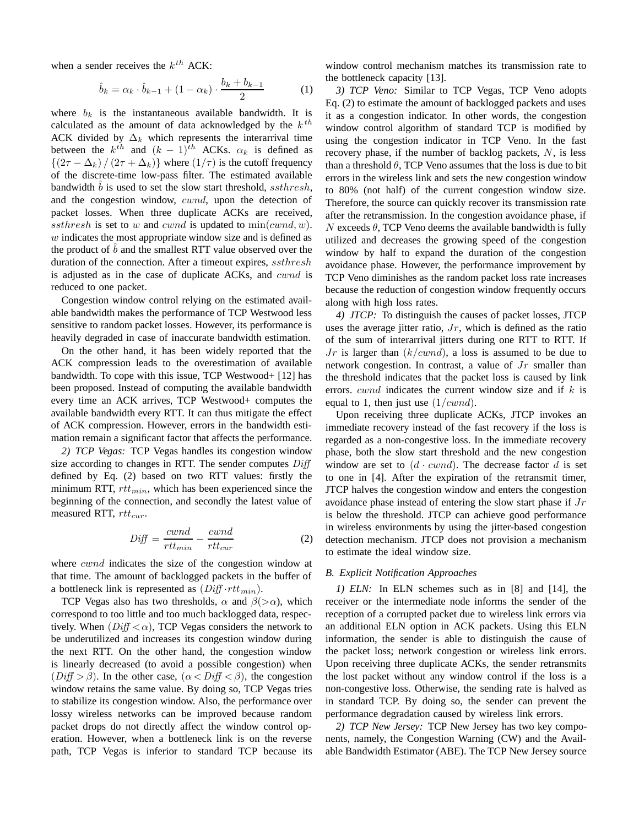when a sender receives the k*th* ACK:

$$
\hat{b}_k = \alpha_k \cdot \hat{b}_{k-1} + (1 - \alpha_k) \cdot \frac{b_k + b_{k-1}}{2} \tag{1}
$$

where  $b_k$  is the instantaneous available bandwidth. It is calculated as the amount of data acknowledged by the  $k<sup>th</sup>$ ACK divided by  $\Delta_k$  which represents the interarrival time between the  $k^{th}$  and  $(k - 1)^{th}$  ACKs.  $\alpha_k$  is defined as  $\{(2\tau - \Delta_k) / (2\tau + \Delta_k)\}\$  where  $(1/\tau)$  is the cutoff frequency of the discrete-time low-pass filter. The estimated available bandwidth  $\overline{b}$  is used to set the slow start threshold, ssthresh, and the congestion window, cwnd, upon the detection of packet losses. When three duplicate ACKs are received, ssthresh is set to w and cwnd is updated to  $\min(cwnd, w)$ .  $w$  indicates the most appropriate window size and is defined as the product of  $b$  and the smallest RTT value observed over the duration of the connection. After a timeout expires, ssthresh is adjusted as in the case of duplicate ACKs, and cwnd is reduced to one packet.

Congestion window control relying on the estimated available bandwidth makes the performance of TCP Westwood less sensitive to random packet losses. However, its performance is heavily degraded in case of inaccurate bandwidth estimation.

On the other hand, it has been widely reported that the ACK compression leads to the overestimation of available bandwidth. To cope with this issue, TCP Westwood+ [12] has been proposed. Instead of computing the available bandwidth every time an ACK arrives, TCP Westwood+ computes the available bandwidth every RTT. It can thus mitigate the effect of ACK compression. However, errors in the bandwidth estimation remain a significant factor that affects the performance.

*2) TCP Vegas:* TCP Vegas handles its congestion window size according to changes in RTT. The sender computes  $Diff$ defined by Eq. (2) based on two RTT values: firstly the minimum RTT, rtt*min*, which has been experienced since the beginning of the connection, and secondly the latest value of measured RTT, rtt*cur*.

$$
Diff = \frac{cwnd}{rtt_{min}} - \frac{cwnd}{rtt_{cur}} \tag{2}
$$

where *cwnd* indicates the size of the congestion window at that time. The amount of backlogged packets in the buffer of a bottleneck link is represented as (Diff *·*rtt*min*).

TCP Vegas also has two thresholds,  $\alpha$  and  $\beta$ ( $>\alpha$ ), which correspond to too little and too much backlogged data, respectively. When  $(Diff < \alpha)$ , TCP Vegas considers the network to be underutilized and increases its congestion window during the next RTT. On the other hand, the congestion window is linearly decreased (to avoid a possible congestion) when  $(Diff > \beta)$ . In the other case,  $(\alpha < Diff < \beta)$ , the congestion window retains the same value. By doing so, TCP Vegas tries to stabilize its congestion window. Also, the performance over lossy wireless networks can be improved because random packet drops do not directly affect the window control operation. However, when a bottleneck link is on the reverse path, TCP Vegas is inferior to standard TCP because its

window control mechanism matches its transmission rate to the bottleneck capacity [13].

*3) TCP Veno:* Similar to TCP Vegas, TCP Veno adopts Eq. (2) to estimate the amount of backlogged packets and uses it as a congestion indicator. In other words, the congestion window control algorithm of standard TCP is modified by using the congestion indicator in TCP Veno. In the fast recovery phase, if the number of backlog packets, N, is less than a threshold  $\theta$ , TCP Veno assumes that the loss is due to bit errors in the wireless link and sets the new congestion window to 80% (not half) of the current congestion window size. Therefore, the source can quickly recover its transmission rate after the retransmission. In the congestion avoidance phase, if N exceeds  $\theta$ , TCP Veno deems the available bandwidth is fully utilized and decreases the growing speed of the congestion window by half to expand the duration of the congestion avoidance phase. However, the performance improvement by TCP Veno diminishes as the random packet loss rate increases because the reduction of congestion window frequently occurs along with high loss rates.

*4) JTCP:* To distinguish the causes of packet losses, JTCP uses the average jitter ratio,  $Jr$ , which is defined as the ratio of the sum of interarrival jitters during one RTT to RTT. If  $Jr$  is larger than  $(k/cwnd)$ , a loss is assumed to be due to network congestion. In contrast, a value of Jr smaller than the threshold indicates that the packet loss is caused by link errors.  $cwnd$  indicates the current window size and if k is equal to 1, then just use  $(1/cwnd)$ .

Upon receiving three duplicate ACKs, JTCP invokes an immediate recovery instead of the fast recovery if the loss is regarded as a non-congestive loss. In the immediate recovery phase, both the slow start threshold and the new congestion window are set to  $(d \cdot cwnd)$ . The decrease factor d is set to one in [4]. After the expiration of the retransmit timer, JTCP halves the congestion window and enters the congestion avoidance phase instead of entering the slow start phase if  $Jr$ is below the threshold. JTCP can achieve good performance in wireless environments by using the jitter-based congestion detection mechanism. JTCP does not provision a mechanism to estimate the ideal window size.

# *B. Explicit Notification Approaches*

*1) ELN:* In ELN schemes such as in [8] and [14], the receiver or the intermediate node informs the sender of the reception of a corrupted packet due to wireless link errors via an additional ELN option in ACK packets. Using this ELN information, the sender is able to distinguish the cause of the packet loss; network congestion or wireless link errors. Upon receiving three duplicate ACKs, the sender retransmits the lost packet without any window control if the loss is a non-congestive loss. Otherwise, the sending rate is halved as in standard TCP. By doing so, the sender can prevent the performance degradation caused by wireless link errors.

*2) TCP New Jersey:* TCP New Jersey has two key components, namely, the Congestion Warning (CW) and the Available Bandwidth Estimator (ABE). The TCP New Jersey source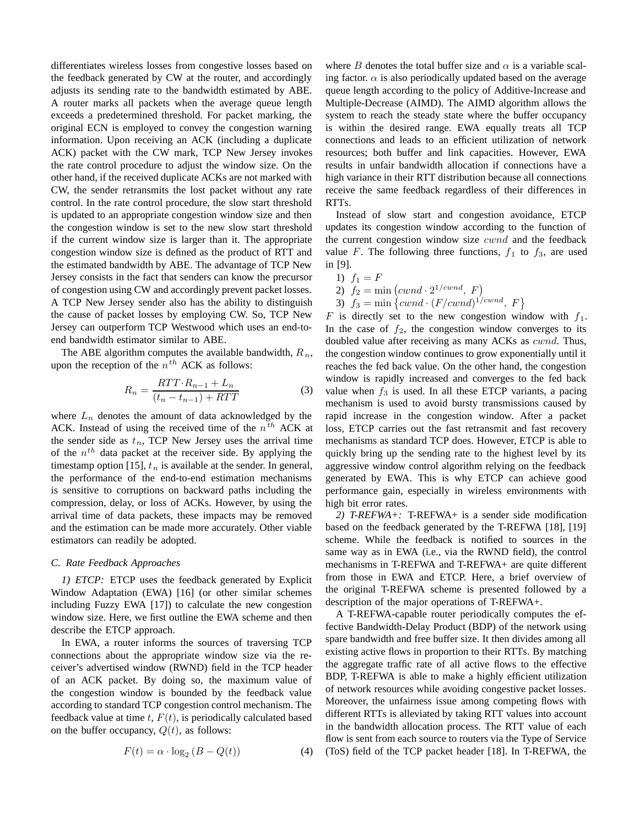differentiates wireless losses from congestive losses based on the feedback generated by CW at the router, and accordingly adjusts its sending rate to the bandwidth estimated by ABE. A router marks all packets when the average queue length exceeds a predetermined threshold. For packet marking, the original ECN is employed to convey the congestion warning information. Upon receiving an ACK (including a duplicate ACK) packet with the CW mark, TCP New Jersey invokes the rate control procedure to adjust the window size. On the other hand, if the received duplicate ACKs are not marked with CW, the sender retransmits the lost packet without any rate control. In the rate control procedure, the slow start threshold is updated to an appropriate congestion window size and then the congestion window is set to the new slow start threshold if the current window size is larger than it. The appropriate congestion window size is defined as the product of RTT and the estimated bandwidth by ABE. The advantage of TCP New Jersey consists in the fact that senders can know the precursor of congestion using CW and accordingly prevent packet losses. A TCP New Jersey sender also has the ability to distinguish the cause of packet losses by employing CW. So, TCP New Jersey can outperform TCP Westwood which uses an end-toend bandwidth estimator similar to ABE.

The ABE algorithm computes the available bandwidth, R*n*, upon the reception of the n*th* ACK as follows:

$$
R_n = \frac{RTT \cdot R_{n-1} + L_n}{(t_n - t_{n-1}) + RTT}
$$
\n(3)

where  $L_n$  denotes the amount of data acknowledged by the ACK. Instead of using the received time of the n*th* ACK at the sender side as t*n*, TCP New Jersey uses the arrival time of the n*th* data packet at the receiver side. By applying the timestamp option [15],  $t_n$  is available at the sender. In general, the performance of the end-to-end estimation mechanisms is sensitive to corruptions on backward paths including the compression, delay, or loss of ACKs. However, by using the arrival time of data packets, these impacts may be removed and the estimation can be made more accurately. Other viable estimators can readily be adopted.

#### *C. Rate Feedback Approaches*

*1) ETCP:* ETCP uses the feedback generated by Explicit Window Adaptation (EWA) [16] (or other similar schemes including Fuzzy EWA [17]) to calculate the new congestion window size. Here, we first outline the EWA scheme and then describe the ETCP approach.

In EWA, a router informs the sources of traversing TCP connections about the appropriate window size via the receiver's advertised window (RWND) field in the TCP header of an ACK packet. By doing so, the maximum value of the congestion window is bounded by the feedback value according to standard TCP congestion control mechanism. The feedback value at time  $t$ ,  $F(t)$ , is periodically calculated based on the buffer occupancy,  $Q(t)$ , as follows:

$$
F(t) = \alpha \cdot \log_2 (B - Q(t))
$$
 (4)

where B denotes the total buffer size and  $\alpha$  is a variable scaling factor.  $\alpha$  is also periodically updated based on the average queue length according to the policy of Additive-Increase and Multiple-Decrease (AIMD). The AIMD algorithm allows the system to reach the steady state where the buffer occupancy is within the desired range. EWA equally treats all TCP connections and leads to an efficient utilization of network resources; both buffer and link capacities. However, EWA results in unfair bandwidth allocation if connections have a high variance in their RTT distribution because all connections receive the same feedback regardless of their differences in RTTs.

Instead of slow start and congestion avoidance, ETCP updates its congestion window according to the function of the current congestion window size  $cwnd$  and the feedback value F. The following three functions,  $f_1$  to  $f_3$ , are used in [9].

1) 
$$
f_1 = F
$$
\n2)  $f_2 = \min\left(cwnd \cdot 2^{1/cwnd}, F\right)$ \n3)  $f_2 = \min\left(cwnd \cdot (F/cwnd)^{1/cu}\right)$ 

3)  $f_3 = \min \left\{ cwnd \cdot (F/cwnd)^{1/cwnd}, F \right\}$ <br>is directly set to the new congestion win

F is directly set to the new congestion window with  $f_1$ . In the case of  $f_2$ , the congestion window converges to its doubled value after receiving as many ACKs as *cwnd*. Thus, the congestion window continues to grow exponentially until it reaches the fed back value. On the other hand, the congestion window is rapidly increased and converges to the fed back value when  $f_3$  is used. In all these ETCP variants, a pacing mechanism is used to avoid bursty transmissions caused by rapid increase in the congestion window. After a packet loss, ETCP carries out the fast retransmit and fast recovery mechanisms as standard TCP does. However, ETCP is able to quickly bring up the sending rate to the highest level by its aggressive window control algorithm relying on the feedback generated by EWA. This is why ETCP can achieve good performance gain, especially in wireless environments with high bit error rates.

*2) T-REFWA+:* T-REFWA+ is a sender side modification based on the feedback generated by the T-REFWA [18], [19] scheme. While the feedback is notified to sources in the same way as in EWA (i.e., via the RWND field), the control mechanisms in T-REFWA and T-REFWA+ are quite different from those in EWA and ETCP. Here, a brief overview of the original T-REFWA scheme is presented followed by a description of the major operations of T-REFWA+.

A T-REFWA-capable router periodically computes the effective Bandwidth-Delay Product (BDP) of the network using spare bandwidth and free buffer size. It then divides among all existing active flows in proportion to their RTTs. By matching the aggregate traffic rate of all active flows to the effective BDP, T-REFWA is able to make a highly efficient utilization of network resources while avoiding congestive packet losses. Moreover, the unfairness issue among competing flows with different RTTs is alleviated by taking RTT values into account in the bandwidth allocation process. The RTT value of each flow is sent from each source to routers via the Type of Service (ToS) field of the TCP packet header [18]. In T-REFWA, the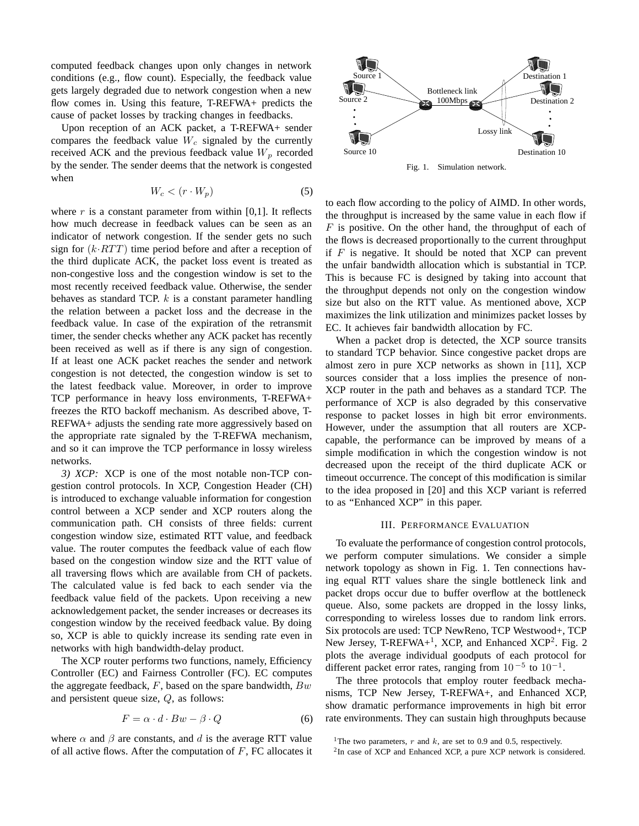computed feedback changes upon only changes in network conditions (e.g., flow count). Especially, the feedback value gets largely degraded due to network congestion when a new flow comes in. Using this feature, T-REFWA+ predicts the cause of packet losses by tracking changes in feedbacks.

Upon reception of an ACK packet, a T-REFWA+ sender compares the feedback value W*<sup>c</sup>* signaled by the currently received ACK and the previous feedback value  $W_p$  recorded by the sender. The sender deems that the network is congested when

$$
W_c < (r \cdot W_p) \tag{5}
$$

where  $r$  is a constant parameter from within [0,1]. It reflects how much decrease in feedback values can be seen as an indicator of network congestion. If the sender gets no such sign for  $(k \cdot RTT)$  time period before and after a reception of the third duplicate ACK, the packet loss event is treated as non-congestive loss and the congestion window is set to the most recently received feedback value. Otherwise, the sender behaves as standard TCP.  $k$  is a constant parameter handling the relation between a packet loss and the decrease in the feedback value. In case of the expiration of the retransmit timer, the sender checks whether any ACK packet has recently been received as well as if there is any sign of congestion. If at least one ACK packet reaches the sender and network congestion is not detected, the congestion window is set to the latest feedback value. Moreover, in order to improve TCP performance in heavy loss environments, T-REFWA+ freezes the RTO backoff mechanism. As described above, T-REFWA+ adjusts the sending rate more aggressively based on the appropriate rate signaled by the T-REFWA mechanism, and so it can improve the TCP performance in lossy wireless networks.

*3) XCP:* XCP is one of the most notable non-TCP congestion control protocols. In XCP, Congestion Header (CH) is introduced to exchange valuable information for congestion control between a XCP sender and XCP routers along the communication path. CH consists of three fields: current congestion window size, estimated RTT value, and feedback value. The router computes the feedback value of each flow based on the congestion window size and the RTT value of all traversing flows which are available from CH of packets. The calculated value is fed back to each sender via the feedback value field of the packets. Upon receiving a new acknowledgement packet, the sender increases or decreases its congestion window by the received feedback value. By doing so, XCP is able to quickly increase its sending rate even in networks with high bandwidth-delay product.

The XCP router performs two functions, namely, Efficiency Controller (EC) and Fairness Controller (FC). EC computes the aggregate feedback,  $F$ , based on the spare bandwidth,  $Bw$ and persistent queue size, Q, as follows:

$$
F = \alpha \cdot d \cdot Bw - \beta \cdot Q \tag{6}
$$

where  $\alpha$  and  $\beta$  are constants, and d is the average RTT value of all active flows. After the computation of  $F$ , FC allocates it



Fig. 1. Simulation network.

to each flow according to the policy of AIMD. In other words, the throughput is increased by the same value in each flow if  $F$  is positive. On the other hand, the throughput of each of the flows is decreased proportionally to the current throughput if  $F$  is negative. It should be noted that XCP can prevent the unfair bandwidth allocation which is substantial in TCP. This is because FC is designed by taking into account that the throughput depends not only on the congestion window size but also on the RTT value. As mentioned above, XCP maximizes the link utilization and minimizes packet losses by EC. It achieves fair bandwidth allocation by FC.

When a packet drop is detected, the XCP source transits to standard TCP behavior. Since congestive packet drops are almost zero in pure XCP networks as shown in [11], XCP sources consider that a loss implies the presence of non-XCP router in the path and behaves as a standard TCP. The performance of XCP is also degraded by this conservative response to packet losses in high bit error environments. However, under the assumption that all routers are XCPcapable, the performance can be improved by means of a simple modification in which the congestion window is not decreased upon the receipt of the third duplicate ACK or timeout occurrence. The concept of this modification is similar to the idea proposed in [20] and this XCP variant is referred to as "Enhanced XCP" in this paper.

#### III. PERFORMANCE EVALUATION

To evaluate the performance of congestion control protocols, we perform computer simulations. We consider a simple network topology as shown in Fig. 1. Ten connections having equal RTT values share the single bottleneck link and packet drops occur due to buffer overflow at the bottleneck queue. Also, some packets are dropped in the lossy links, corresponding to wireless losses due to random link errors. Six protocols are used: TCP NewReno, TCP Westwood+, TCP New Jersey, T-REFWA+<sup>1</sup>, XCP, and Enhanced XCP<sup>2</sup>. Fig. 2 plots the average individual goodputs of each protocol for different packet error rates, ranging from 10 *<sup>−</sup>*<sup>5</sup> to <sup>10</sup>*<sup>−</sup>*<sup>1</sup>.

The three protocols that employ router feedback mechanisms, TCP New Jersey, T-REFWA+, and Enhanced XCP, show dramatic performance improvements in high bit error rate environments. They can sustain high throughputs because

<sup>&</sup>lt;sup>1</sup>The two parameters,  $r$  and  $k$ , are set to 0.9 and 0.5, respectively.

<sup>2</sup>In case of XCP and Enhanced XCP, a pure XCP network is considered.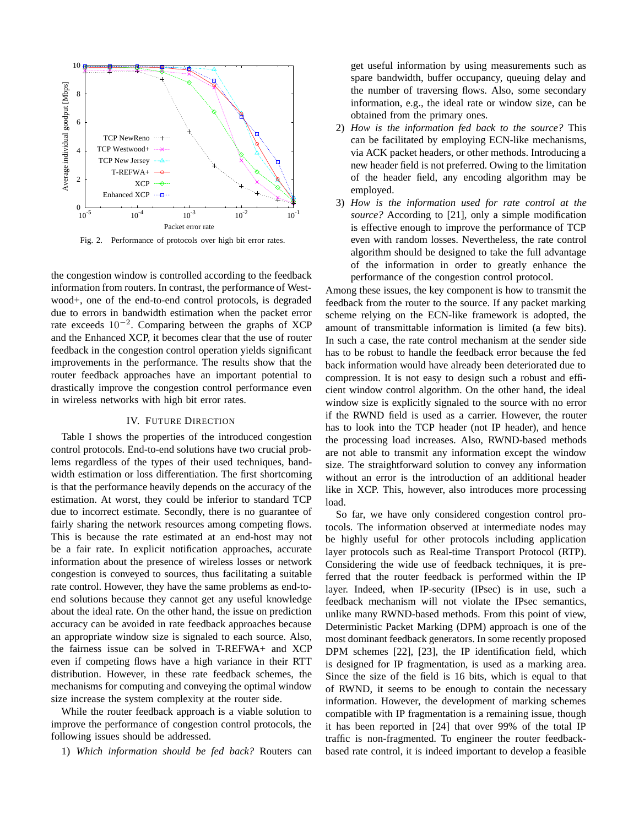

Fig. 2. Performance of protocols over high bit error rates.

the congestion window is controlled according to the feedback information from routers. In contrast, the performance of Westwood+, one of the end-to-end control protocols, is degraded due to errors in bandwidth estimation when the packet error rate exceeds 10*<sup>−</sup>*<sup>2</sup>. Comparing between the graphs of XCP and the Enhanced XCP, it becomes clear that the use of router feedback in the congestion control operation yields significant improvements in the performance. The results show that the router feedback approaches have an important potential to drastically improve the congestion control performance even in wireless networks with high bit error rates.

#### IV. FUTURE DIRECTION

Table I shows the properties of the introduced congestion control protocols. End-to-end solutions have two crucial problems regardless of the types of their used techniques, bandwidth estimation or loss differentiation. The first shortcoming is that the performance heavily depends on the accuracy of the estimation. At worst, they could be inferior to standard TCP due to incorrect estimate. Secondly, there is no guarantee of fairly sharing the network resources among competing flows. This is because the rate estimated at an end-host may not be a fair rate. In explicit notification approaches, accurate information about the presence of wireless losses or network congestion is conveyed to sources, thus facilitating a suitable rate control. However, they have the same problems as end-toend solutions because they cannot get any useful knowledge about the ideal rate. On the other hand, the issue on prediction accuracy can be avoided in rate feedback approaches because an appropriate window size is signaled to each source. Also, the fairness issue can be solved in T-REFWA+ and XCP even if competing flows have a high variance in their RTT distribution. However, in these rate feedback schemes, the mechanisms for computing and conveying the optimal window size increase the system complexity at the router side.

While the router feedback approach is a viable solution to improve the performance of congestion control protocols, the following issues should be addressed.

1) *Which information should be fed back?* Routers can

get useful information by using measurements such as spare bandwidth, buffer occupancy, queuing delay and the number of traversing flows. Also, some secondary information, e.g., the ideal rate or window size, can be obtained from the primary ones.

- 2) *How is the information fed back to the source?* This can be facilitated by employing ECN-like mechanisms, via ACK packet headers, or other methods. Introducing a new header field is not preferred. Owing to the limitation of the header field, any encoding algorithm may be employed.
- 3) *How is the information used for rate control at the source?* According to [21], only a simple modification is effective enough to improve the performance of TCP even with random losses. Nevertheless, the rate control algorithm should be designed to take the full advantage of the information in order to greatly enhance the performance of the congestion control protocol.

Among these issues, the key component is how to transmit the feedback from the router to the source. If any packet marking scheme relying on the ECN-like framework is adopted, the amount of transmittable information is limited (a few bits). In such a case, the rate control mechanism at the sender side has to be robust to handle the feedback error because the fed back information would have already been deteriorated due to compression. It is not easy to design such a robust and efficient window control algorithm. On the other hand, the ideal window size is explicitly signaled to the source with no error if the RWND field is used as a carrier. However, the router has to look into the TCP header (not IP header), and hence the processing load increases. Also, RWND-based methods are not able to transmit any information except the window size. The straightforward solution to convey any information without an error is the introduction of an additional header like in XCP. This, however, also introduces more processing load.

So far, we have only considered congestion control protocols. The information observed at intermediate nodes may be highly useful for other protocols including application layer protocols such as Real-time Transport Protocol (RTP). Considering the wide use of feedback techniques, it is preferred that the router feedback is performed within the IP layer. Indeed, when IP-security (IPsec) is in use, such a feedback mechanism will not violate the IPsec semantics, unlike many RWND-based methods. From this point of view, Deterministic Packet Marking (DPM) approach is one of the most dominant feedback generators. In some recently proposed DPM schemes [22], [23], the IP identification field, which is designed for IP fragmentation, is used as a marking area. Since the size of the field is 16 bits, which is equal to that of RWND, it seems to be enough to contain the necessary information. However, the development of marking schemes compatible with IP fragmentation is a remaining issue, though it has been reported in [24] that over 99% of the total IP traffic is non-fragmented. To engineer the router feedbackbased rate control, it is indeed important to develop a feasible